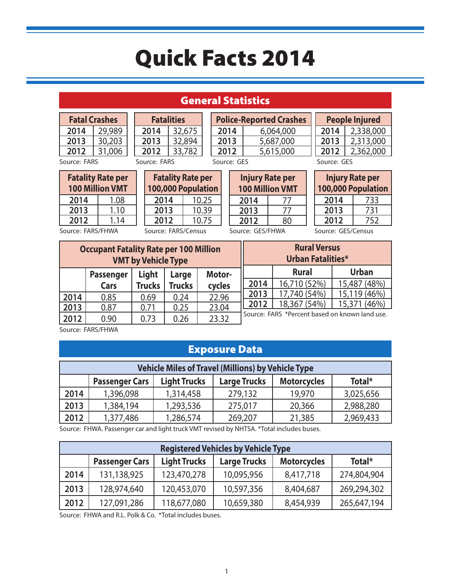### General Statistics

| <b>Fatal Crashes</b> |        |  | <b>Fatalit</b> |  |
|----------------------|--------|--|----------------|--|
| 2014                 | 29,989 |  | 2014           |  |
| 2013                 | 30,203 |  | 2013           |  |
| 2012                 | 31,006 |  | 2012           |  |
| Source: FARS         |        |  | Source: FARS   |  |

**Fatalities 2014** 32,675 **2013** 32,894 **2012** 33,782

**2013** 5,687,000 **2012** 5,615,000

Source: GES

|                   | <b>Fatality Rate per</b><br><b>100 Million VMT</b> |  |
|-------------------|----------------------------------------------------|--|
| 2014              | 1.08                                               |  |
| 2013              | 1.10                                               |  |
| 2012<br>1.14      |                                                    |  |
| Source: FARS/FHWA |                                                    |  |

|                     | <b>Fatality Rate per</b><br>100,000 Population |  |
|---------------------|------------------------------------------------|--|
| 2014                | 10.25                                          |  |
| 2013                | 10.39                                          |  |
| 2012                | 10.75                                          |  |
| Source: FARS/Census |                                                |  |

**Injury Rate per 100 Million VMT 2014** 77 **2013** 77 **2012** 80 Source: GES/FHWA

**Police-Reported Crashes 2014** 6,064,000

| Source: GES |                                              |
|-------------|----------------------------------------------|
|             | <b>Injury Rate per</b><br>100,000 Population |
| 2014        | 733                                          |
| 2013        | 731                                          |
| 2012        | 157                                          |

**People Injured** 2,338,000 2,313,000 2,362,000

Source: GES/Census

| <b>Occupant Fatality Rate per 100 Million</b><br><b>VMT by Vehicle Type</b> |                  |               |               | <b>Rural Versus</b><br><b>Urban Fatalities*</b> |      |                                                |              |
|-----------------------------------------------------------------------------|------------------|---------------|---------------|-------------------------------------------------|------|------------------------------------------------|--------------|
|                                                                             | <b>Passenger</b> | Light         | Large         | Motor-                                          |      | <b>Rural</b>                                   | <b>Urban</b> |
|                                                                             | Cars             | <b>Trucks</b> | <b>Trucks</b> | cycles                                          | 2014 | 16,710 (52%)                                   | 15,487 (48%) |
| 2014                                                                        | 0.85             | 0.69          | 0.24          | 22.96                                           | 2013 | 17,740 (54%)                                   | 15,119 (46%) |
| 2013                                                                        | 0.87             | 0.71          | 0.25          | 23.04                                           | 2012 | 18,367 (54%)                                   | 15,371 (46%) |
| 2012                                                                        | 0.90             | 0.73          | 0.26          | 23.32                                           |      | Source: FARS *Percent based on known land use. |              |

Source: FARS/FHWA

#### Exposure Data

|      | <b>Vehicle Miles of Travel (Millions) by Vehicle Type</b> |                     |                     |                    |           |
|------|-----------------------------------------------------------|---------------------|---------------------|--------------------|-----------|
|      | <b>Passenger Cars</b>                                     | <b>Light Trucks</b> | <b>Large Trucks</b> | <b>Motorcycles</b> | Total*    |
| 2014 | 1,396,098                                                 | 1,314,458           | 279,132             | 19,970             | 3,025,656 |
| 2013 | 1,384,194                                                 | 1,293,536           | 275,017             | 20,366             | 2,988,280 |
| 2012 | 1,377,486                                                 | 1,286,574           | 269,207             | 21,385             | 2,969,433 |

Source: FHWA. Passenger car and light truck VMT revised by NHTSA. \*Total includes buses.

| <b>Registered Vehicles by Vehicle Type</b> |                       |                     |                     |                    |             |
|--------------------------------------------|-----------------------|---------------------|---------------------|--------------------|-------------|
|                                            | <b>Passenger Cars</b> | <b>Light Trucks</b> | <b>Large Trucks</b> | <b>Motorcycles</b> | Total*      |
| 2014                                       | 131,138,925           | 123,470,278         | 10,095,956          | 8,417,718          | 274,804,904 |
| 2013                                       | 128,974,640           | 120,453,070         | 10,597,356          | 8,404,687          | 269,294,302 |
| 2012                                       | 127,091,286           | 118,677,080         | 10,659,380          | 8,454,939          | 265,647,194 |

Source: FHWA and R.L. Polk & Co. \*Total includes buses.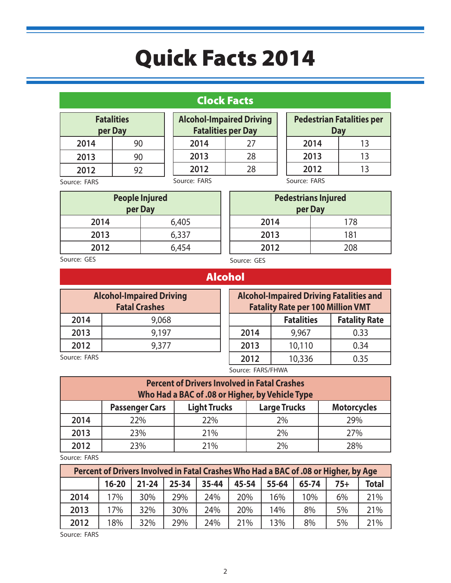### Clock Facts

| <b>Fatalities</b> |    |  |
|-------------------|----|--|
| per Day           |    |  |
| 2014              | 90 |  |
| 2013              | 90 |  |
| 2012              | 92 |  |
|                   |    |  |

| <b>Alcohol-Impaired Driving</b><br><b>Fatalities per Day</b> |    |  |
|--------------------------------------------------------------|----|--|
| 2014                                                         | 27 |  |
| 2013                                                         | 28 |  |
| 2012                                                         | 28 |  |
| Source: FARS                                                 |    |  |

| <b>Pedestrian Fatalities per</b><br><b>Day</b> |    |  |
|------------------------------------------------|----|--|
| 2014                                           | 13 |  |
| 2013                                           | 13 |  |
| 2012                                           | 13 |  |
|                                                |    |  |

Source: FARS

| <b>People Injured</b><br>per Day |       |  |
|----------------------------------|-------|--|
| 2014                             | 6,405 |  |
| 2013                             | 6,337 |  |
| 2012                             | 6,454 |  |

Source: FARS

| <b>Pedestrians Injured</b><br>per Day |     |  |  |
|---------------------------------------|-----|--|--|
| 2014                                  | 178 |  |  |
| 2013                                  | 181 |  |  |
| 2012                                  | 208 |  |  |
|                                       |     |  |  |

Source: GES

Source: GES

#### Alcohol

| <b>Alcohol-Impaired Driving</b><br><b>Fatal Crashes</b> |       |  |  |
|---------------------------------------------------------|-------|--|--|
| 2014                                                    | 9,068 |  |  |
| 2013                                                    | 9,197 |  |  |
| 2012<br>9,377                                           |       |  |  |
| $C_1, \ldots, C_n$ $\Box$                               |       |  |  |

**Alcohol-Impaired Driving Fatalities and Fatality Rate per 100 Million VMT Fatalities Fatality Rate 2014** 9,967 0.33 **2013** 10,110 0.34 **2012** 10,336 0.35

Source: FARS

Source: FARS/FHWA

|      | <b>Percent of Drivers Involved in Fatal Crashes</b><br>Who Had a BAC of .08 or Higher, by Vehicle Type |                     |                     |                    |  |  |
|------|--------------------------------------------------------------------------------------------------------|---------------------|---------------------|--------------------|--|--|
|      | <b>Passenger Cars</b>                                                                                  | <b>Light Trucks</b> | <b>Large Trucks</b> | <b>Motorcycles</b> |  |  |
| 2014 | 22%                                                                                                    | 22%                 | 2%                  | 29%                |  |  |
| 2013 | 23%                                                                                                    | 21%                 | 2%                  | 27%                |  |  |
| 2012 | 23%<br>21%<br>2%<br>28%                                                                                |                     |                     |                    |  |  |

Source: FARS

|      | Percent of Drivers Involved in Fatal Crashes Who Had a BAC of .08 or Higher, by Age |           |           |       |       |       |       |       |              |
|------|-------------------------------------------------------------------------------------|-----------|-----------|-------|-------|-------|-------|-------|--------------|
|      | $16 - 20$                                                                           | $21 - 24$ | $25 - 34$ | 35-44 | 45-54 | 55-64 | 65-74 | $75+$ | <b>Total</b> |
| 2014 | 17%                                                                                 | 30%       | 29%       | 24%   | 20%   | 16%   | 10%   | 6%    | 21%          |
| 2013 | 17%                                                                                 | 32%       | 30%       | 24%   | 20%   | 14%   | 8%    | 5%    | 21%          |
| 2012 | 18%                                                                                 | 32%       | 29%       | 24%   | 21%   | 13%   | 8%    | 5%    | 21%          |

Source: FARS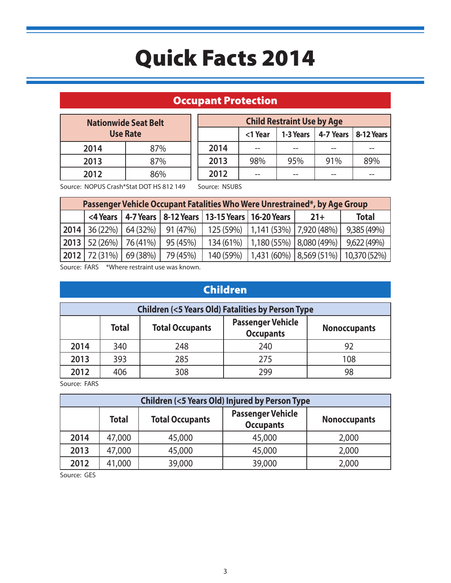### Occupant Protection

| <b>Nationwide Seat Belt</b><br><b>Use Rate</b> |     |  |  |
|------------------------------------------------|-----|--|--|
| 2014                                           | 87% |  |  |
| 2013<br>87%                                    |     |  |  |
| 2012                                           | 86% |  |  |

| <b>Child Restraint Use by Age</b> |                                                |     |     |     |  |
|-----------------------------------|------------------------------------------------|-----|-----|-----|--|
|                                   | 4-7 Years   8-12 Years<br><1 Year<br>1-3 Years |     |     |     |  |
| 2014                              |                                                |     |     |     |  |
| 2013                              | 98%                                            | 95% | 91% | 89% |  |
| 2012                              |                                                |     |     |     |  |

Source: NOPUS Crash\*Stat DOT HS 812 149

Source: NSUBS

| Passenger Vehicle Occupant Fatalities Who Were Unrestrained*, by Age Group |          |          |           |                                                               |       |                                                  |
|----------------------------------------------------------------------------|----------|----------|-----------|---------------------------------------------------------------|-------|--------------------------------------------------|
|                                                                            |          |          |           | <4 Years   4-7 Years   8-12 Years   13-15 Years   16-20 Years | $21+$ | <b>Total</b>                                     |
| $2014$ 36 (22%)                                                            | 64(32%)  | 91(47%)  |           | 125 (59%)   1,141 (53%)   7,920 (48%)                         |       | 9,385 (49%)                                      |
| 2013   52(26%)                                                             | 76 (41%) | 95 (45%) | 134 (61%) | 1,180(55%) 8,080(49%)                                         |       | 9,622 (49%)                                      |
| 2012 72(31%)                                                               | 69 (38%) | 79 (45%) | 140 (59%) |                                                               |       | $\vert$ 1,431 (60%)   8,569 (51%)   10,370 (52%) |

Source: FARS \*Where restraint use was known.

### Children

|      | <b>Children (&lt;5 Years Old) Fatalities by Person Type</b> |                        |                                              |                     |  |
|------|-------------------------------------------------------------|------------------------|----------------------------------------------|---------------------|--|
|      | <b>Total</b>                                                | <b>Total Occupants</b> | <b>Passenger Vehicle</b><br><b>Occupants</b> | <b>Nonoccupants</b> |  |
| 2014 | 340                                                         | 248                    | 240                                          |                     |  |
| 2013 | 393                                                         | 285                    | 275                                          | 108                 |  |
| 2012 | 406                                                         | 308                    | 299                                          |                     |  |

Source: FARS

|      | <b>Children (&lt;5 Years Old) Injured by Person Type</b> |                        |                                              |                     |  |
|------|----------------------------------------------------------|------------------------|----------------------------------------------|---------------------|--|
|      | <b>Total</b>                                             | <b>Total Occupants</b> | <b>Passenger Vehicle</b><br><b>Occupants</b> | <b>Nonoccupants</b> |  |
| 2014 | 47,000                                                   | 45,000                 | 45,000                                       | 2,000               |  |
| 2013 | 47,000                                                   | 45,000                 | 45,000                                       | 2,000               |  |
| 2012 | 41,000                                                   | 39,000                 | 39,000                                       | 2,000               |  |

Source: GES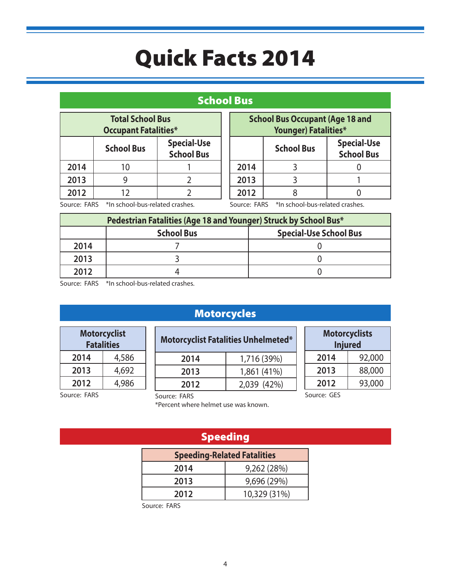#### School Bus

| <b>Total School Bus</b><br><b>Occupant Fatalities*</b>       |    |  |  |
|--------------------------------------------------------------|----|--|--|
| <b>Special-Use</b><br><b>School Bus</b><br><b>School Bus</b> |    |  |  |
| 2014                                                         | 10 |  |  |
| 2013                                                         |    |  |  |
| 2012                                                         | 12 |  |  |

| <b>School Bus Occupant (Age 18 and</b><br><b>Younger) Fatalities*</b> |                   |                                         |  |
|-----------------------------------------------------------------------|-------------------|-----------------------------------------|--|
|                                                                       | <b>School Bus</b> | <b>Special-Use</b><br><b>School Bus</b> |  |
| 2014                                                                  |                   |                                         |  |
| 2013                                                                  |                   |                                         |  |
| 2012                                                                  |                   |                                         |  |

Source: FARS \*In school-bus-related crashes.

Source: FARS \*In school-bus-related crashes.

|      | Pedestrian Fatalities (Age 18 and Younger) Struck by School Bus* |  |  |  |
|------|------------------------------------------------------------------|--|--|--|
|      | <b>Special-Use School Bus</b><br><b>School Bus</b>               |  |  |  |
| 2014 |                                                                  |  |  |  |
| 2013 |                                                                  |  |  |  |
| 2012 |                                                                  |  |  |  |

Source: FARS \*In school-bus-related crashes.

### Motorcycles

| Motorcyclist<br><b>Fatalities</b> |       |  |
|-----------------------------------|-------|--|
| 2014                              | 4,586 |  |
| 2013                              | 4,692 |  |
| 2012                              | 4.986 |  |

| <b>Motorcyclist Fatalities Unhelmeted*</b> |             |  |
|--------------------------------------------|-------------|--|
| 2014                                       | 1,716 (39%) |  |
| 2013                                       | 1,861 (41%) |  |
| 2012                                       | 2,039 (42%) |  |

| <b>Motorcyclists</b><br><b>Injured</b> |        |  |
|----------------------------------------|--------|--|
| 2014                                   | 92,000 |  |
| 2013                                   | 88,000 |  |
| 93,000<br>2012                         |        |  |
| Source: GES                            |        |  |

Source: FARS

Source: FARS

\*Percent where helmet use was known.

### Speeding

| <b>Speeding-Related Fatalities</b> |              |  |
|------------------------------------|--------------|--|
| 2014                               | 9,262 (28%)  |  |
| 2013                               | 9,696 (29%)  |  |
| 2012                               | 10,329 (31%) |  |

Source: FARS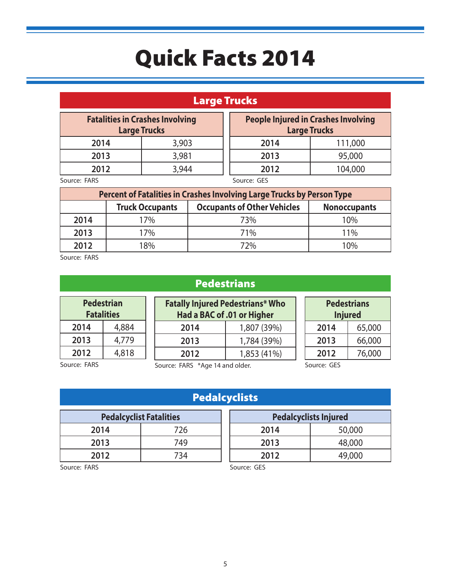### Large Trucks

| <b>Fatalities in Crashes Involving</b><br><b>Large Trucks</b> |       |                                 | <b>People Injured in Crashes Involving</b><br><b>Large Trucks</b> |
|---------------------------------------------------------------|-------|---------------------------------|-------------------------------------------------------------------|
| 2014                                                          | 3,903 | 2014                            | 111,000                                                           |
| 2013                                                          | 3,981 | 2013                            | 95,000                                                            |
| 2012                                                          | 3,944 | 2012                            | 104,000                                                           |
| $C_{\text{a}11222}$ , $FADC$                                  |       | $C_{\text{out}}$ $C_{\text{F}}$ |                                                                   |

Source: FARS

Source: GES

| Percent of Fatalities in Crashes Involving Large Trucks by Person Type |                                                                                     |     |     |
|------------------------------------------------------------------------|-------------------------------------------------------------------------------------|-----|-----|
|                                                                        | <b>Occupants of Other Vehicles</b><br><b>Truck Occupants</b><br><b>Nonoccupants</b> |     |     |
| 2014                                                                   | 17%                                                                                 | 73% | 10% |
| 2013                                                                   | 17%                                                                                 | 71% | 11% |
| 2012                                                                   | 18%                                                                                 | 72% | 10% |

Source: FARS

| <b>Pedestrian</b><br><b>Fatalities</b> |       |  |
|----------------------------------------|-------|--|
| 2014                                   | 4,884 |  |
| 2013                                   | 4,779 |  |
| 2012                                   | 4,818 |  |

Pedestrians

| <b>Fatally Injured Pedestrians* Who</b><br>Had a BAC of .01 or Higher |             |  |
|-----------------------------------------------------------------------|-------------|--|
| 2014                                                                  | 1,807 (39%) |  |
| 2013                                                                  | 1,784 (39%) |  |
| 2012                                                                  | 1,853 (41%) |  |

Source: FARS

Source: FARS \*Age 14 and older.

Source: GES

**Pedalcyclists Injured 2014** 50,000 **2013** 48,000

**Pedestrians Injured 2014** 65,000 **2013** 66,000 **2012** 76,000

|  | <b>Pedalcyclist</b> |  |  |
|--|---------------------|--|--|
|--|---------------------|--|--|

| <b>Pedalcyclist Fatalities</b> |     |  |
|--------------------------------|-----|--|
| 2014                           | 726 |  |
| 2013                           | 749 |  |
| 2012                           | 734 |  |

#### Source: GES

**2012** 49,000

Source: FARS

5